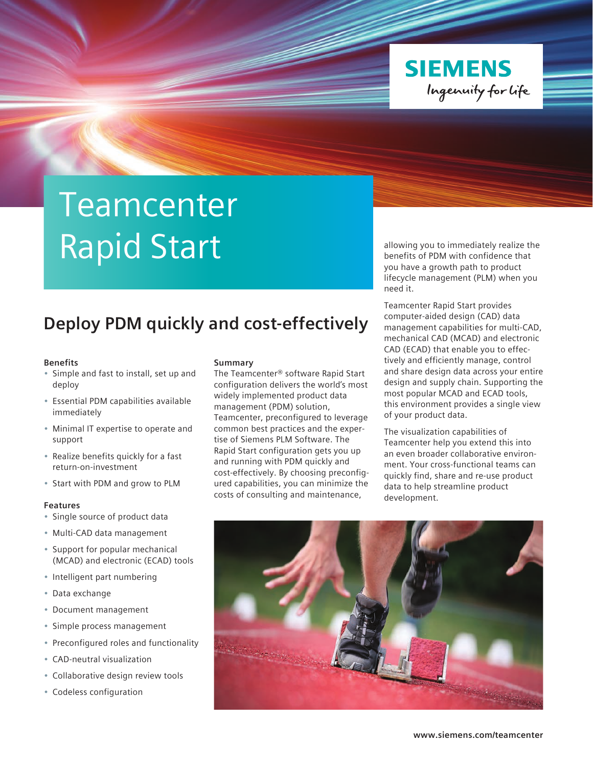

# Rapid Start

allowing you to immediately realize the benefits of PDM with confidence that you have a growth path to product lifecycle management (PLM) when you need it.

#### Teamcenter Rapid Start provides computer-aided design (CAD) data management capabilities for multi-CAD, mechanical CAD (MCAD) and electronic CAD (ECAD) that enable you to effectively and efficiently manage, control and share design data across your entire design and supply chain. Supporting the most popular MCAD and ECAD tools, this environment provides a single view of your product data.

The visualization capabilities of Teamcenter help you extend this into an even broader collaborative environment. Your cross-functional teams can quickly find, share and re-use product data to help streamline product development.



## Teamcenter

### **Deploy PDM quickly and cost-effectively**

#### **Benefits**

- Simple and fast to install, set up and deploy
- Essential PDM capabilities available immediately
- Minimal IT expertise to operate and support
- Realize benefits quickly for a fast return-on-investment
- Start with PDM and grow to PLM

#### **Features**

- Single source of product data
- Multi-CAD data management
- Support for popular mechanical (MCAD) and electronic (ECAD) tools
- Intelligent part numbering
- Data exchange
- Document management
- Simple process management
- Preconfigured roles and functionality
- CAD-neutral visualization
- Collaborative design review tools
- Codeless configuration

#### **Summary**

The Teamcenter® software Rapid Start configuration delivers the world's most widely implemented product data management (PDM) solution, Teamcenter, preconfigured to leverage common best practices and the expertise of Siemens PLM Software. The Rapid Start configuration gets you up and running with PDM quickly and cost-effectively. By choosing preconfigured capabilities, you can minimize the costs of consulting and maintenance,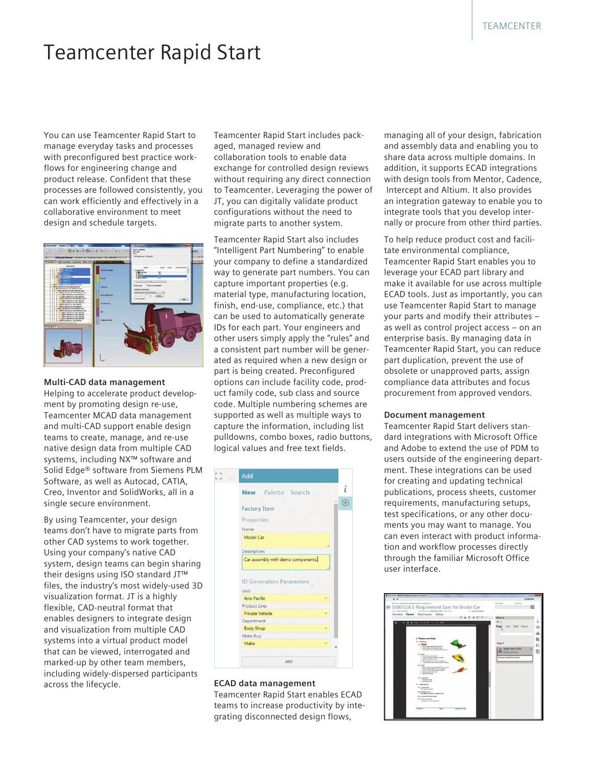## Teamcenter Rapid Start

You can use Teamcenter Rapid Start to manage everyday tasks and processes with preconfigured best practice workflows for engineering change and product release. Confident that these processes are followed consistently, you can work efficiently and effectively in a collaborative environment to meet design and schedule targets.



### **Multi-CAD data management**

Helping to accelerate product development by promoting design re-use, Teamcenter MCAD data management and multi-CAD support enable design teams to create, manage, and re-use native design data from multiple CAD systems, including NX™ software and Solid Edge® software from Siemens PLM Software, as well as Autocad, CATIA, Creo, Inventor and SolidWorks, all in a single secure environment.

By using Teamcenter, your design teams don't have to migrate parts from other CAD systems to work together. Using your company's native CAD system, design teams can begin sharing their designs using ISO standard JT™ files, the industry's most widely-used 3D visualization format. JT is a highly flexible, CAD-neutral format that enables designers to integrate design and visualization from multiple CAD systems into a virtual product model that can be viewed, interrogated and marked-up by other team members, including widely-dispersed participants across the lifecycle.

Teamcenter Rapid Start includes packaged, managed review and collaboration tools to enable data exchange for controlled design reviews without requiring any direct connection to Teamcenter. Leveraging the power of JT, you can digitally validate product configurations without the need to migrate parts to another system.

Teamcenter Rapid Start also includes "Intelligent Part Numbering" to enable your company to define a standardized way to generate part numbers. You can capture important properties (e.g. material type, manufacturing location, finish, end-use, compliance, etc.) that can be used to automatically generate IDs for each part. Your engineers and other users simply apply the "rules" and a consistent part number will be generated as required when a new design or part is being created. Preconfigured options can include facility code, product family code, sub class and source code. Multiple numbering schemes are supported as well as multiple ways to capture the information, including list pulldowns, combo boxes, radio buttons, logical values and free text fields.

| $\mathbf{u}$ | Add                                     |  |   |  |
|--------------|-----------------------------------------|--|---|--|
|              | <b>New</b> Palette Search               |  | i |  |
|              | <b>Factory Item</b><br>Properties       |  | Э |  |
|              | Name:<br>Model Car                      |  |   |  |
|              | <b>Description:</b>                     |  |   |  |
|              | Car assembly with demo components.      |  |   |  |
|              | <b>ID Generation Parameters</b>         |  |   |  |
|              | Unit:<br>Asia Pacific                   |  |   |  |
|              | Product Line:<br><b>Private Vehicle</b> |  |   |  |
|              | Department:<br><b>Body Shop</b>         |  |   |  |
|              | Make Buy:<br>Make                       |  |   |  |
|              | Add                                     |  |   |  |

#### **ECAD data management**

Teamcenter Rapid Start enables ECAD teams to increase productivity by integrating disconnected design flows,

managing all of your design, fabrication and assembly data and enabling you to share data across multiple domains. In addition, it supports ECAD integrations with design tools from Mentor, Cadence, Intercept and Altium. It also provides an integration gateway to enable you to integrate tools that you develop internally or procure from other third parties.

To help reduce product cost and facilitate environmental compliance, Teamcenter Rapid Start enables you to leverage your ECAD part library and make it available for use across multiple ECAD tools. Just as importantly, you can use Teamcenter Rapid Start to manage your parts and modify their attributes – as well as control project access – on an enterprise basis. By managing data in Teamcenter Rapid Start, you can reduce part duplication, prevent the use of obsolete or unapproved parts, assign compliance data attributes and focus procurement from approved vendors.

#### **Document management**

Teamcenter Rapid Start delivers standard integrations with Microsoft Office and Adobe to extend the use of PDM to users outside of the engineering department. These integrations can be used for creating and updating technical publications, process sheets, customer requirements, manufacturing setups, test specifications, or any other documents you may want to manage. You can even interact with product information and workflow processes directly through the familiar Microsoft Office user interface.

| Teamwarter - 000/01/0/4 Resultances Town for Model Car         |                                                                                                                                                                                                                                |                         | <b>SEALAN</b>                                          |
|----------------------------------------------------------------|--------------------------------------------------------------------------------------------------------------------------------------------------------------------------------------------------------------------------------|-------------------------|--------------------------------------------------------|
| A <sub>0</sub>                                                 |                                                                                                                                                                                                                                |                         | <b>SIEMENS</b>                                         |
| Boot, here (400), Brainwarea Specifical Author: Calvet Markins |                                                                                                                                                                                                                                | Start Oyner             | Searcher                                               |
| ⊛<br>Owner, Bend American<br>Overview Viewer                   | 000051/A;1-Requirement Spec for Model Car<br>Let Mother Date: 28-Ap-2025 1830 Felsey Strive<br>Attachments History                                                                                                             | Troni Document Revision | 题                                                      |
|                                                                |                                                                                                                                                                                                                                | 24 4 ★ 10 2<br>Markup   |                                                        |
| ۰<br>$P + 1$ Feb.                                              | <b>Kidd - A 70%</b>                                                                                                                                                                                                            | $\mathbb{R}$            | l                                                      |
|                                                                |                                                                                                                                                                                                                                | Page                    | User Date Status<br>ris.                               |
|                                                                |                                                                                                                                                                                                                                | Filter                  |                                                        |
|                                                                | 2 Requirement Study                                                                                                                                                                                                            |                         |                                                        |
|                                                                | <b>3.4 Chiestone</b><br><b>AAA Character</b>                                                                                                                                                                                   | Page 4                  |                                                        |
|                                                                | . Southerness therein<br>. Drawing red his studen and<br>a foreign to take constituting meaning continues.                                                                                                                     |                         | <b>Bond, Jane (rs00)</b><br><b>ALL ALTOCCL SHOTLAW</b> |
|                                                                | <b>EXP Both</b><br>. Stockhood to shop wiges<br>1 Technik should be affrom a with solary<br>a - Persona schuld by detunion<br>. Parallell plan doublin 675 torquest<br>. The price sharehold by the first and wider receivings |                         | heed right material for bumper                         |
|                                                                | 3.13 Door<br>a Beneviewals should a show Wings at the<br>1 Traffective professionalistic for \$1900 of concellent.<br>a - Robust Augel charterstown Suranty standards<br>. Romaing speed - Brittman<br>- Europea & heale       |                         |                                                        |
|                                                                | 314 Dearersons<br>y Museum furth before<br>a detection without                                                                                                                                                                 |                         |                                                        |
|                                                                | 33 Annexters                                                                                                                                                                                                                   |                         |                                                        |
|                                                                | <b>F.E.S. Surroute How</b><br><b>Will pures Futures</b>                                                                                                                                                                        |                         |                                                        |
|                                                                | 222 Magicularus<br>Seconda portalhith collars we                                                                                                                                                                               |                         |                                                        |
|                                                                | <b>E.E.S. Course of bot networking:</b>                                                                                                                                                                                        |                         |                                                        |
|                                                                | 12.4 Particulated<br>Insurance of pullback marketium                                                                                                                                                                           |                         |                                                        |
|                                                                | Touchamore<br><b>Residential Book</b><br><b>Page 4</b>                                                                                                                                                                         |                         |                                                        |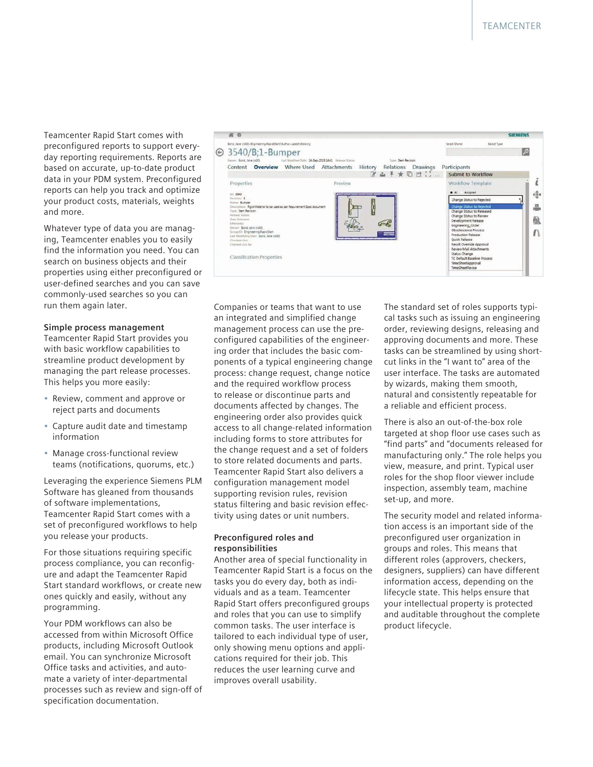Teamcenter Rapid Start comes with preconfigured reports to support everyday reporting requirements. Reports are based on accurate, up-to-date product data in your PDM system. Preconfigured reports can help you track and optimize your product costs, materials, weights and more.

Whatever type of data you are managing, Teamcenter enables you to easily find the information you need. You can search on business objects and their properties using either preconfigured or user-defined searches and you can save commonly-used searches so you can run them again later.

#### **Simple process management**

Teamcenter Rapid Start provides you with basic workflow capabilities to streamline product development by managing the part release processes. This helps you more easily:

- Review, comment and approve or reject parts and documents
- Capture audit date and timestamp information
- Manage cross-functional review teams (notifications, quorums, etc.)

Leveraging the experience Siemens PLM Software has gleaned from thousands of software implementations, Teamcenter Rapid Start comes with a set of preconfigured workflows to help you release your products.

For those situations requiring specific process compliance, you can reconfigure and adapt the Teamcenter Rapid Start standard workflows, or create new ones quickly and easily, without any programming.

Your PDM workflows can also be accessed from within Microsoft Office products, including Microsoft Outlook email. You can synchronize Microsoft Office tasks and activities, and automate a variety of inter-departmental processes such as review and sign-off of specification documentation.



Companies or teams that want to use an integrated and simplified change management process can use the preconfigured capabilities of the engineering order that includes the basic components of a typical engineering change process: change request, change notice and the required workflow process to release or discontinue parts and documents affected by changes. The engineering order also provides quick access to all change-related information including forms to store attributes for the change request and a set of folders to store related documents and parts. Teamcenter Rapid Start also delivers a configuration management model supporting revision rules, revision status filtering and basic revision effectivity using dates or unit numbers.

#### **Preconfigured roles and responsibilities**

Another area of special functionality in Teamcenter Rapid Start is a focus on the tasks you do every day, both as individuals and as a team. Teamcenter Rapid Start offers preconfigured groups and roles that you can use to simplify common tasks. The user interface is tailored to each individual type of user, only showing menu options and applications required for their job. This reduces the user learning curve and improves overall usability.

The standard set of roles supports typical tasks such as issuing an engineering order, reviewing designs, releasing and approving documents and more. These tasks can be streamlined by using shortcut links in the "I want to" area of the user interface. The tasks are automated by wizards, making them smooth, natural and consistently repeatable for a reliable and efficient process.

There is also an out-of-the-box role targeted at shop floor use cases such as "find parts" and "documents released for manufacturing only." The role helps you view, measure, and print. Typical user roles for the shop floor viewer include inspection, assembly team, machine set-up, and more.

The security model and related information access is an important side of the preconfigured user organization in groups and roles. This means that different roles (approvers, checkers, designers, suppliers) can have different information access, depending on the lifecycle state. This helps ensure that your intellectual property is protected and auditable throughout the complete product lifecycle.